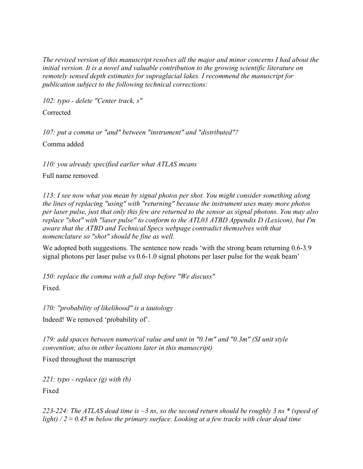*The revised version of this manuscript resolves all the major and minor concerns I had about the initial version. It is a novel and valuable contribution to the growing scientific literature on remotely sensed depth estimates for supraglacial lakes. I recommend the manuscript for publication subject to the following technical corrections:*

*102: typo - delete "Center track, s"*

Corrected

*107: put a comma or "and" between "instrument" and "distributed"?*

Comma added

*110: you already specified earlier what ATLAS means*

Full name removed

*113: I see now what you mean by signal photos per shot. You might consider something along the lines of replacing "using" with "returning" because the instrument uses many more photos per laser pulse, just that only this few are returned to the sensor as signal photons. You may also replace "shot" with "laser pulse" to conform to the ATL03 ATBD Appendix D (Lexicon), but I'm aware that the ATBD and Technical Specs webpage contradict themselves with that nomenclature so "shot" should be fine as well.*

We adopted both suggestions. The sentence now reads 'with the strong beam returning 0.6-3.9 signal photons per laser pulse vs 0.6-1.0 signal photons per laser pulse for the weak beam'

*150: replace the comma with a full stop before "We discuss"*

Fixed.

*170: "probability of likelihood" is a tautology* Indeed! We removed 'probability of'.

*179: add spaces between numerical value and unit in "0.1m" and "0.3m" (SI unit style convention; also in other locations later in this manuscript)*

Fixed throughout the manuscript

*221: typo - replace (g) with (b)* Fixed

*223-224: The ATLAS dead time is ~3 ns, so the second return should be roughly 3 ns \* (speed of light)*  $/2 \approx 0.45$  *m* below the primary surface. Looking at a few tracks with clear dead time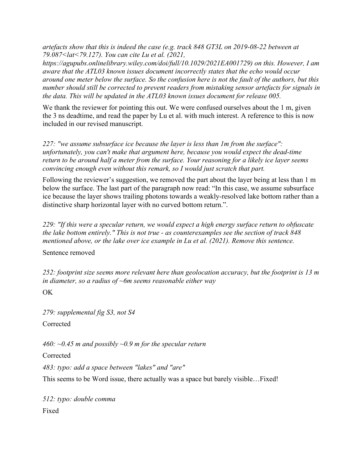*artefacts show that this is indeed the case (e.g. track 848 GT3L on 2019-08-22 between at 79.087<lat<79.127). You can cite Lu et al. (2021,* 

*https://agupubs.onlinelibrary.wiley.com/doi/full/10.1029/2021EA001729) on this. However, I am aware that the ATL03 known issues document incorrectly states that the echo would occur around one meter below the surface. So the confusion here is not the fault of the authors, but this number should still be corrected to prevent readers from mistaking sensor artefacts for signals in the data. This will be updated in the ATL03 known issues document for release 005.*

We thank the reviewer for pointing this out. We were confused ourselves about the 1 m, given the 3 ns deadtime, and read the paper by Lu et al. with much interest. A reference to this is now included in our revised manuscript.

*227: "we assume subsurface ice because the layer is less than 1m from the surface": unfortunately, you can't make that argument here, because you would expect the dead-time return to be around half a meter from the surface. Your reasoning for a likely ice layer seems convincing enough even without this remark, so I would just scratch that part.*

Following the reviewer's suggestion, we removed the part about the layer being at less than 1 m below the surface. The last part of the paragraph now read: "In this case, we assume subsurface ice because the layer shows trailing photons towards a weakly-resolved lake bottom rather than a distinctive sharp horizontal layer with no curved bottom return.".

*229: "If this were a specular return, we would expect a high energy surface return to obfuscate the lake bottom entirely." This is not true - as counterexamples see the section of track 848 mentioned above, or the lake over ice example in Lu et al. (2021). Remove this sentence.*

Sentence removed

*252: footprint size seems more relevant here than geolocation accuracy, but the footprint is 13 m in diameter, so a radius of ~6m seems reasonable either way*

OK

*279: supplemental fig S3, not S4*

Corrected

*460: ~0.45 m and possibly ~0.9 m for the specular return*

Corrected

*483: typo: add a space between "lakes" and "are"*

This seems to be Word issue, there actually was a space but barely visible…Fixed!

*512: typo: double comma* Fixed